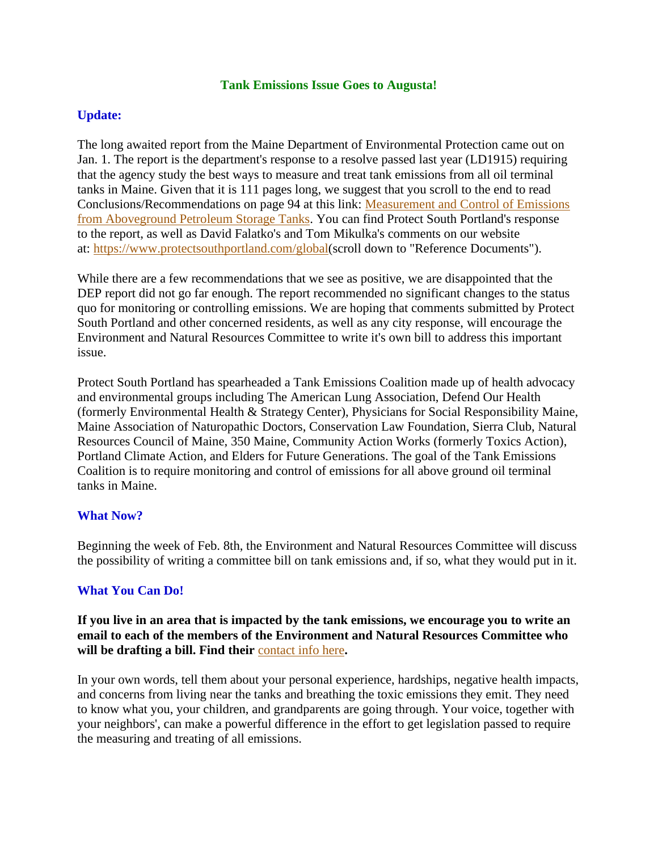#### **Tank Emissions Issue Goes to Augusta!**

# **Update:**

The long awaited report from the Maine Department of Environmental Protection came out on Jan. 1. The report is the department's response to a resolve passed last year (LD1915) requiring that the agency study the best ways to measure and treat tank emissions from all oil terminal tanks in Maine. Given that it is 111 pages long, we suggest that you scroll to the end to read Conclusions/Recommendations on page 94 at this link: [Measurement and Control of Emissions](https://protectsouthportland.us3.list-manage.com/track/click?u=d1a2c58208211d81681094d6b&id=e34ca36201&e=dd7bd8cae7)  [from Aboveground Petroleum Storage Tanks.](https://protectsouthportland.us3.list-manage.com/track/click?u=d1a2c58208211d81681094d6b&id=e34ca36201&e=dd7bd8cae7) You can find Protect South Portland's response to the report, as well as David Falatko's and Tom Mikulka's comments on our website at: [https://www.protectsouthportland.com/global\(](https://www.protectsouthportland.com/global)scroll down to "Reference Documents").

While there are a few recommendations that we see as positive, we are disappointed that the DEP report did not go far enough. The report recommended no significant changes to the status quo for monitoring or controlling emissions. We are hoping that comments submitted by Protect South Portland and other concerned residents, as well as any city response, will encourage the Environment and Natural Resources Committee to write it's own bill to address this important issue.

Protect South Portland has spearheaded a Tank Emissions Coalition made up of health advocacy and environmental groups including The American Lung Association, Defend Our Health (formerly Environmental Health & Strategy Center), Physicians for Social Responsibility Maine, Maine Association of Naturopathic Doctors, Conservation Law Foundation, Sierra Club, Natural Resources Council of Maine, 350 Maine, Community Action Works (formerly Toxics Action), Portland Climate Action, and Elders for Future Generations. The goal of the Tank Emissions Coalition is to require monitoring and control of emissions for all above ground oil terminal tanks in Maine.

#### **What Now?**

Beginning the week of Feb. 8th, the Environment and Natural Resources Committee will discuss the possibility of writing a committee bill on tank emissions and, if so, what they would put in it.

# **What You Can Do!**

**If you live in an area that is impacted by the tank emissions, we encourage you to write an email to each of the members of the Environment and Natural Resources Committee who will be drafting a bill. Find their** [contact info here](https://protectsouthportland.us3.list-manage.com/track/click?u=d1a2c58208211d81681094d6b&id=9a6d68e8ed&e=dd7bd8cae7)**.**

In your own words, tell them about your personal experience, hardships, negative health impacts, and concerns from living near the tanks and breathing the toxic emissions they emit. They need to know what you, your children, and grandparents are going through. Your voice, together with your neighbors', can make a powerful difference in the effort to get legislation passed to require the measuring and treating of all emissions.